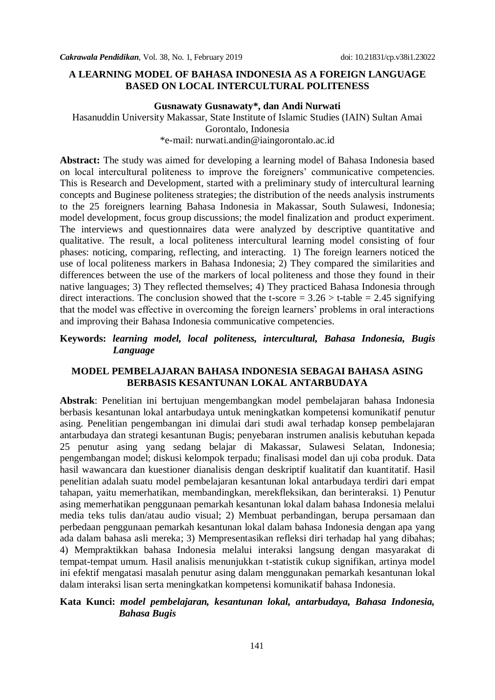#### **A LEARNING MODEL OF BAHASA INDONESIA AS A FOREIGN LANGUAGE BASED ON LOCAL INTERCULTURAL POLITENESS**

#### **Gusnawaty Gusnawaty\*, dan Andi Nurwati**

Hasanuddin University Makassar, State Institute of Islamic Studies (IAIN) Sultan Amai Gorontalo, Indonesia \*e-mail: [nurwati.andin@iaingorontalo.ac.id](mailto:nurwati.andin@iaingorontalo.ac.id)

**Abstract:** The study was aimed for developing a learning model of Bahasa Indonesia based on local intercultural politeness to improve the foreigners" communicative competencies. This is Research and Development, started with a preliminary study of intercultural learning concepts and Buginese politeness strategies; the distribution of the needs analysis instruments to the 25 foreigners learning Bahasa Indonesia in Makassar, South Sulawesi, Indonesia; model development, focus group discussions; the model finalization and product experiment. The interviews and questionnaires data were analyzed by descriptive quantitative and qualitative. The result, a local politeness intercultural learning model consisting of four phases: noticing, comparing, reflecting, and interacting. 1) The foreign learners noticed the use of local politeness markers in Bahasa Indonesia; 2) They compared the similarities and differences between the use of the markers of local politeness and those they found in their native languages; 3) They reflected themselves; 4) They practiced Bahasa Indonesia through direct interactions. The conclusion showed that the t-score  $= 3.26 > t$ -table  $= 2.45$  signifying that the model was effective in overcoming the foreign learners" problems in oral interactions and improving their Bahasa Indonesia communicative competencies.

### **Keywords:** *learning model, local politeness, intercultural, Bahasa Indonesia, Bugis Language*

### **MODEL PEMBELAJARAN BAHASA INDONESIA SEBAGAI BAHASA ASING BERBASIS KESANTUNAN LOKAL ANTARBUDAYA**

**Abstrak**: Penelitian ini bertujuan mengembangkan model pembelajaran bahasa Indonesia berbasis kesantunan lokal antarbudaya untuk meningkatkan kompetensi komunikatif penutur asing. Penelitian pengembangan ini dimulai dari studi awal terhadap konsep pembelajaran antarbudaya dan strategi kesantunan Bugis; penyebaran instrumen analisis kebutuhan kepada 25 penutur asing yang sedang belajar di Makassar, Sulawesi Selatan, Indonesia; pengembangan model; diskusi kelompok terpadu; finalisasi model dan uji coba produk. Data hasil wawancara dan kuestioner dianalisis dengan deskriptif kualitatif dan kuantitatif. Hasil penelitian adalah suatu model pembelajaran kesantunan lokal antarbudaya terdiri dari empat tahapan, yaitu memerhatikan, membandingkan, merekfleksikan, dan berinteraksi. 1) Penutur asing memerhatikan penggunaan pemarkah kesantunan lokal dalam bahasa Indonesia melalui media teks tulis dan/atau audio visual; 2) Membuat perbandingan, berupa persamaan dan perbedaan penggunaan pemarkah kesantunan lokal dalam bahasa Indonesia dengan apa yang ada dalam bahasa asli mereka; 3) Mempresentasikan refleksi diri terhadap hal yang dibahas; 4) Mempraktikkan bahasa Indonesia melalui interaksi langsung dengan masyarakat di tempat-tempat umum. Hasil analisis menunjukkan t-statistik cukup signifikan, artinya model ini efektif mengatasi masalah penutur asing dalam menggunakan pemarkah kesantunan lokal dalam interaksi lisan serta meningkatkan kompetensi komunikatif bahasa Indonesia.

#### **Kata Kunci:** *model pembelajaran, kesantunan lokal, antarbudaya, Bahasa Indonesia, Bahasa Bugis*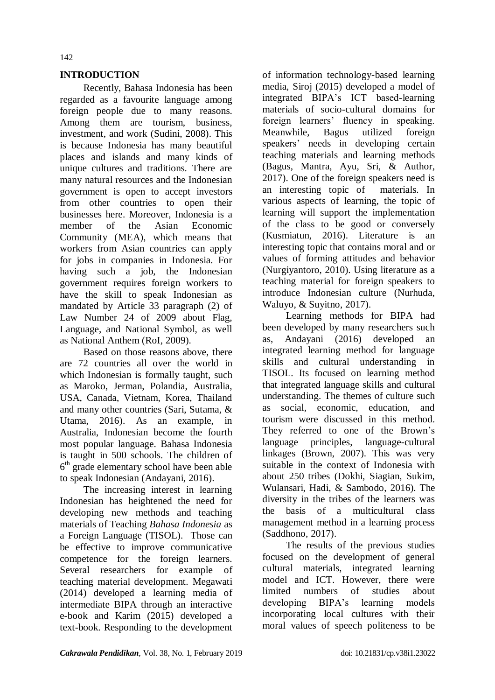## **INTRODUCTION**

Recently, Bahasa Indonesia has been regarded as a favourite language among foreign people due to many reasons. Among them are tourism, business, investment, and work (Sudini, 2008). This is because Indonesia has many beautiful places and islands and many kinds of unique cultures and traditions. There are many natural resources and the Indonesian government is open to accept investors from other countries to open their businesses here. Moreover, Indonesia is a member of the Asian Economic Community (MEA), which means that workers from Asian countries can apply for jobs in companies in Indonesia. For having such a job, the Indonesian government requires foreign workers to have the skill to speak Indonesian as mandated by Article 33 paragraph (2) of Law Number 24 of 2009 about Flag, Language, and National Symbol, as well as National Anthem (RoI, 2009).

Based on those reasons above, there are 72 countries all over the world in which Indonesian is formally taught, such as Maroko, Jerman, Polandia, Australia, USA, Canada, Vietnam, Korea, Thailand and many other countries (Sari, Sutama, & Utama, 2016). As an example, in Australia, Indonesian become the fourth most popular language. Bahasa Indonesia is taught in 500 schools. The children of  $6<sup>th</sup>$  grade elementary school have been able to speak Indonesian (Andayani, 2016).

The increasing interest in learning Indonesian has heightened the need for developing new methods and teaching materials of Teaching *Bahasa Indonesia* as a Foreign Language (TISOL). Those can be effective to improve communicative competence for the foreign learners. Several researchers for example of teaching material development. Megawati (2014) developed a learning media of intermediate BIPA through an interactive e-book and Karim (2015) developed a text-book. Responding to the development

of information technology-based learning media, Siroj (2015) developed a model of integrated BIPA"s ICT based-learning materials of socio-cultural domains for foreign learners' fluency in speaking. Meanwhile, Bagus utilized foreign speakers' needs in developing certain teaching materials and learning methods (Bagus, Mantra, Ayu, Sri, & Author, 2017). One of the foreign speakers need is an interesting topic of materials. In various aspects of learning, the topic of learning will support the implementation of the class to be good or conversely (Kusmiatun, 2016). Literature is an interesting topic that contains moral and or values of forming attitudes and behavior (Nurgiyantoro, 2010). Using literature as a teaching material for foreign speakers to introduce Indonesian culture (Nurhuda, Waluyo, & Suyitno, 2017).

Learning methods for BIPA had been developed by many researchers such as, Andayani (2016) developed an integrated learning method for language skills and cultural understanding in TISOL. Its focused on learning method that integrated language skills and cultural understanding. The themes of culture such as social, economic, education, and tourism were discussed in this method. They referred to one of the Brown"s language principles, language-cultural linkages (Brown, 2007). This was very suitable in the context of Indonesia with about 250 tribes (Dokhi, Siagian, Sukim, Wulansari, Hadi, & Sambodo, 2016). The diversity in the tribes of the learners was the basis of a multicultural class management method in a learning process (Saddhono, 2017).

The results of the previous studies focused on the development of general cultural materials, integrated learning model and ICT. However, there were limited numbers of studies about developing BIPA's learning models incorporating local cultures with their moral values of speech politeness to be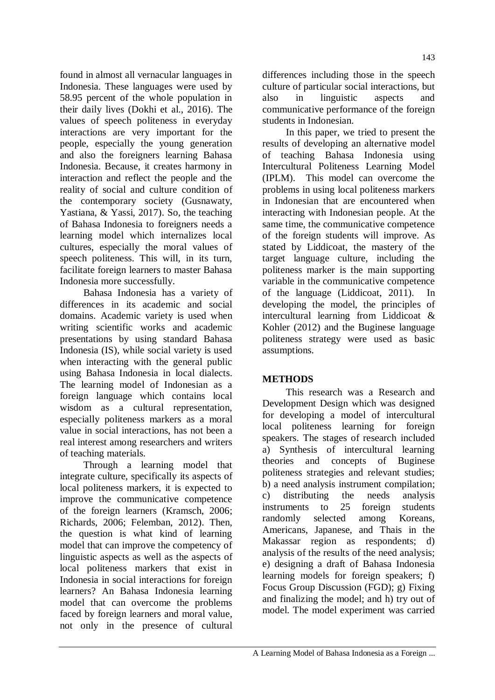found in almost all vernacular languages in Indonesia. These languages were used by 58.95 percent of the whole population in their daily lives (Dokhi et al., 2016). The values of speech politeness in everyday interactions are very important for the people, especially the young generation and also the foreigners learning Bahasa Indonesia. Because, it creates harmony in interaction and reflect the people and the reality of social and culture condition of the contemporary society (Gusnawaty, Yastiana, & Yassi, 2017). So, the teaching of Bahasa Indonesia to foreigners needs a learning model which internalizes local cultures, especially the moral values of speech politeness. This will, in its turn, facilitate foreign learners to master Bahasa Indonesia more successfully.

Bahasa Indonesia has a variety of differences in its academic and social domains. Academic variety is used when writing scientific works and academic presentations by using standard Bahasa Indonesia (IS), while social variety is used when interacting with the general public using Bahasa Indonesia in local dialects. The learning model of Indonesian as a foreign language which contains local wisdom as a cultural representation, especially politeness markers as a moral value in social interactions, has not been a real interest among researchers and writers of teaching materials.

Through a learning model that integrate culture, specifically its aspects of local politeness markers, it is expected to improve the communicative competence of the foreign learners (Kramsch, 2006; Richards, 2006; Felemban, 2012). Then, the question is what kind of learning model that can improve the competency of linguistic aspects as well as the aspects of local politeness markers that exist in Indonesia in social interactions for foreign learners? An Bahasa Indonesia learning model that can overcome the problems faced by foreign learners and moral value, not only in the presence of cultural differences including those in the speech culture of particular social interactions, but also in linguistic aspects and communicative performance of the foreign students in Indonesian.

In this paper, we tried to present the results of developing an alternative model of teaching Bahasa Indonesia using Intercultural Politeness Learning Model (IPLM). This model can overcome the problems in using local politeness markers in Indonesian that are encountered when interacting with Indonesian people. At the same time, the communicative competence of the foreign students will improve. As stated by Liddicoat, the mastery of the target language culture, including the politeness marker is the main supporting variable in the communicative competence of the language (Liddicoat, 2011). In developing the model, the principles of intercultural learning from Liddicoat & Kohler (2012) and the Buginese language politeness strategy were used as basic assumptions.

# **METHODS**

This research was a Research and Development Design which was designed for developing a model of intercultural local politeness learning for foreign speakers. The stages of research included a) Synthesis of intercultural learning theories and concepts of Buginese politeness strategies and relevant studies; b) a need analysis instrument compilation; c) distributing the needs analysis instruments to 25 foreign students randomly selected among Koreans, Americans, Japanese, and Thais in the Makassar region as respondents; d) analysis of the results of the need analysis; e) designing a draft of Bahasa Indonesia learning models for foreign speakers; f) Focus Group Discussion (FGD); g) Fixing and finalizing the model; and h) try out of model. The model experiment was carried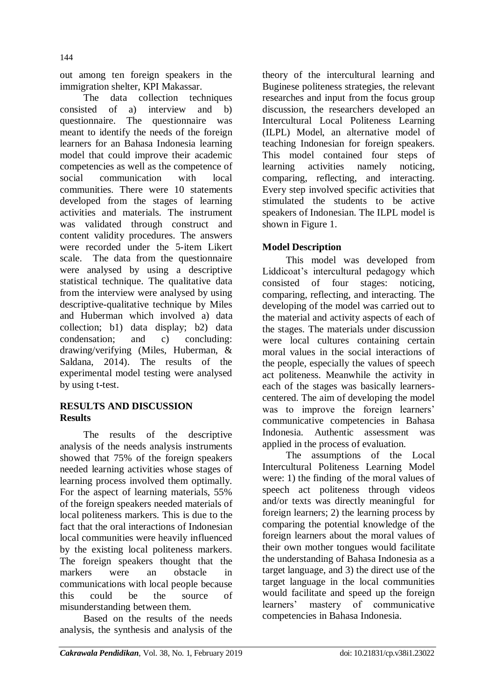out among ten foreign speakers in the immigration shelter, KPI Makassar.

The data collection techniques consisted of a) interview and b) questionnaire. The questionnaire was meant to identify the needs of the foreign learners for an Bahasa Indonesia learning model that could improve their academic competencies as well as the competence of social communication with local communities. There were 10 statements developed from the stages of learning activities and materials. The instrument was validated through construct and content validity procedures. The answers were recorded under the 5-item Likert scale. The data from the questionnaire were analysed by using a descriptive statistical technique. The qualitative data from the interview were analysed by using descriptive-qualitative technique by Miles and Huberman which involved a) data collection; b1) data display; b2) data condensation; and c) concluding: drawing/verifying (Miles, Huberman, & Saldana, 2014). The results of the experimental model testing were analysed by using t-test.

# **RESULTS AND DISCUSSION Results**

The results of the descriptive analysis of the needs analysis instruments showed that 75% of the foreign speakers needed learning activities whose stages of learning process involved them optimally. For the aspect of learning materials, 55% of the foreign speakers needed materials of local politeness markers. This is due to the fact that the oral interactions of Indonesian local communities were heavily influenced by the existing local politeness markers. The foreign speakers thought that the markers were an obstacle in communications with local people because this could be the source of misunderstanding between them.

Based on the results of the needs analysis, the synthesis and analysis of the

theory of the intercultural learning and Buginese politeness strategies, the relevant researches and input from the focus group discussion, the researchers developed an Intercultural Local Politeness Learning (ILPL) Model, an alternative model of teaching Indonesian for foreign speakers. This model contained four steps of learning activities namely noticing, comparing, reflecting, and interacting. Every step involved specific activities that stimulated the students to be active speakers of Indonesian. The ILPL model is shown in Figure 1.

# **Model Description**

This model was developed from Liddicoat"s intercultural pedagogy which consisted of four stages: noticing, comparing, reflecting, and interacting. The developing of the model was carried out to the material and activity aspects of each of the stages. The materials under discussion were local cultures containing certain moral values in the social interactions of the people, especially the values of speech act politeness. Meanwhile the activity in each of the stages was basically learnerscentered. The aim of developing the model was to improve the foreign learners' communicative competencies in Bahasa Indonesia. Authentic assessment was applied in the process of evaluation.

The assumptions of the Local Intercultural Politeness Learning Model were: 1) the finding of the moral values of speech act politeness through videos and/or texts was directly meaningful for foreign learners; 2) the learning process by comparing the potential knowledge of the foreign learners about the moral values of their own mother tongues would facilitate the understanding of Bahasa Indonesia as a target language, and 3) the direct use of the target language in the local communities would facilitate and speed up the foreign learners" mastery of communicative competencies in Bahasa Indonesia.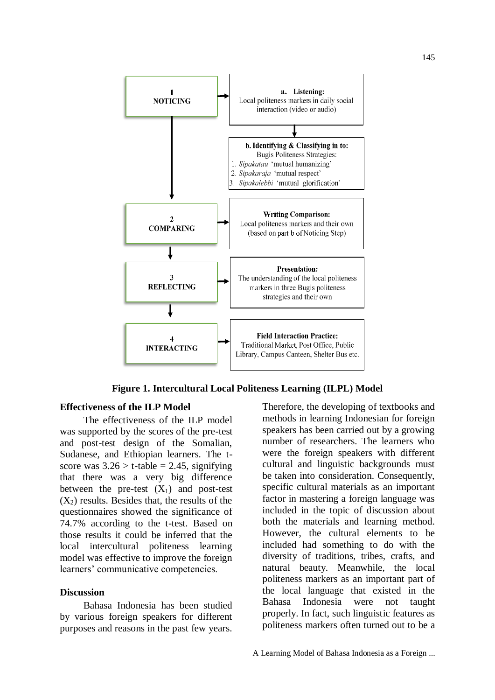

**Figure 1. Intercultural Local Politeness Learning (ILPL) Model**

### **Effectiveness of the ILP Model**

The effectiveness of the ILP model was supported by the scores of the pre-test and post-test design of the Somalian, Sudanese, and Ethiopian learners. The tscore was  $3.26 > t$ -table = 2.45, signifying that there was a very big difference between the pre-test  $(X_1)$  and post-test  $(X_2)$  results. Besides that, the results of the questionnaires showed the significance of 74.7% according to the t-test. Based on those results it could be inferred that the local intercultural politeness learning model was effective to improve the foreign learners' communicative competencies.

#### **Discussion**

Bahasa Indonesia has been studied by various foreign speakers for different purposes and reasons in the past few years.

Therefore, the developing of textbooks and methods in learning Indonesian for foreign speakers has been carried out by a growing number of researchers. The learners who were the foreign speakers with different cultural and linguistic backgrounds must be taken into consideration. Consequently, specific cultural materials as an important factor in mastering a foreign language was included in the topic of discussion about both the materials and learning method. However, the cultural elements to be included had something to do with the diversity of traditions, tribes, crafts, and natural beauty. Meanwhile, the local politeness markers as an important part of the local language that existed in the Bahasa Indonesia were not taught properly. In fact, such linguistic features as politeness markers often turned out to be a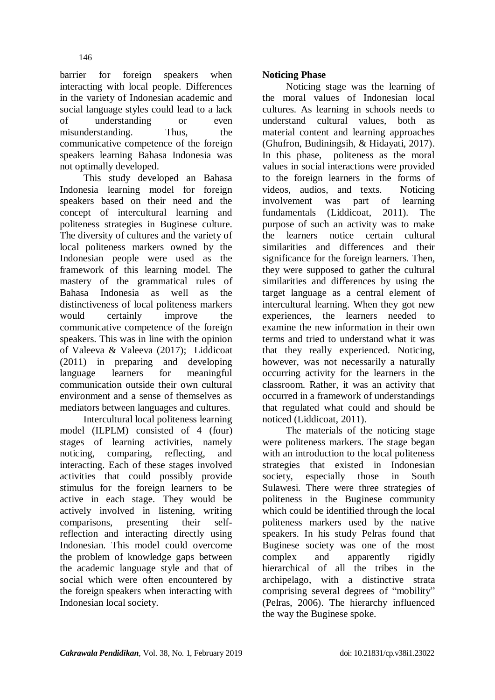barrier for foreign speakers when interacting with local people. Differences in the variety of Indonesian academic and social language styles could lead to a lack of understanding or even misunderstanding. Thus, the communicative competence of the foreign speakers learning Bahasa Indonesia was not optimally developed.

This study developed an Bahasa Indonesia learning model for foreign speakers based on their need and the concept of intercultural learning and politeness strategies in Buginese culture. The diversity of cultures and the variety of local politeness markers owned by the Indonesian people were used as the framework of this learning model. The mastery of the grammatical rules of Bahasa Indonesia as well as the distinctiveness of local politeness markers would certainly improve the communicative competence of the foreign speakers. This was in line with the opinion of Valeeva & Valeeva (2017); Liddicoat (2011) in preparing and developing language learners for meaningful communication outside their own cultural environment and a sense of themselves as mediators between languages and cultures.

Intercultural local politeness learning model (ILPLM) consisted of 4 (four) stages of learning activities, namely noticing, comparing, reflecting, and interacting. Each of these stages involved activities that could possibly provide stimulus for the foreign learners to be active in each stage. They would be actively involved in listening, writing comparisons, presenting their selfreflection and interacting directly using Indonesian. This model could overcome the problem of knowledge gaps between the academic language style and that of social which were often encountered by the foreign speakers when interacting with Indonesian local society.

# **Noticing Phase**

Noticing stage was the learning of the moral values of Indonesian local cultures. As learning in schools needs to understand cultural values, both as material content and learning approaches (Ghufron, Budiningsih, & Hidayati, 2017). In this phase, politeness as the moral values in social interactions were provided to the foreign learners in the forms of videos, audios, and texts. Noticing involvement was part of learning fundamentals (Liddicoat, 2011). The purpose of such an activity was to make the learners notice certain cultural similarities and differences and their significance for the foreign learners. Then, they were supposed to gather the cultural similarities and differences by using the target language as a central element of intercultural learning. When they got new experiences, the learners needed to examine the new information in their own terms and tried to understand what it was that they really experienced. Noticing, however, was not necessarily a naturally occurring activity for the learners in the classroom. Rather, it was an activity that occurred in a framework of understandings that regulated what could and should be noticed (Liddicoat, 2011).

The materials of the noticing stage were politeness markers. The stage began with an introduction to the local politeness strategies that existed in Indonesian society, especially those in South Sulawesi. There were three strategies of politeness in the Buginese community which could be identified through the local politeness markers used by the native speakers. In his study Pelras found that Buginese society was one of the most complex and apparently rigidly hierarchical of all the tribes in the archipelago, with a distinctive strata comprising several degrees of "mobility" (Pelras, 2006). The hierarchy influenced the way the Buginese spoke.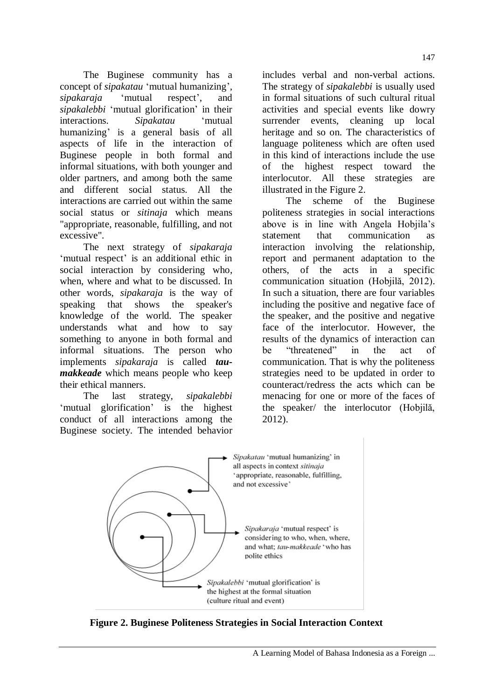The Buginese community has a concept of *sipakatau* "mutual humanizing", *sipakaraja* 'mutual respect', and *sipakalebbi* "mutual glorification" in their interactions. *Sipakatau* "mutual humanizing' is a general basis of all aspects of life in the interaction of Buginese people in both formal and informal situations, with both younger and older partners, and among both the same and different social status. All the interactions are carried out within the same social status or *sitinaja* which means "appropriate, reasonable, fulfilling, and not excessive"*.*

The next strategy of *sipakaraja* 'mutual respect' is an additional ethic in social interaction by considering who, when, where and what to be discussed. In other words, *sipakaraja* is the way of speaking that shows the speaker's knowledge of the world. The speaker understands what and how to say something to anyone in both formal and informal situations. The person who implements *sipakaraja* is called *taumakkeade* which means people who keep their ethical manners.

The last strategy, *sipakalebbi* 'mutual glorification' is the highest conduct of all interactions among the Buginese society. The intended behavior includes verbal and non-verbal actions. The strategy of *sipakalebbi* is usually used in formal situations of such cultural ritual activities and special events like dowry surrender events, cleaning up local heritage and so on. The characteristics of language politeness which are often used in this kind of interactions include the use of the highest respect toward the interlocutor. All these strategies are illustrated in the Figure 2.

The scheme of the Buginese politeness strategies in social interactions above is in line with Angela Hobjila"s statement that communication interaction involving the relationship, report and permanent adaptation to the others, of the acts in a specific communication situation (Hobjilă, 2012). In such a situation, there are four variables including the positive and negative face of the speaker, and the positive and negative face of the interlocutor. However, the results of the dynamics of interaction can be "threatened" in the act of communication. That is why the politeness strategies need to be updated in order to counteract/redress the acts which can be menacing for one or more of the faces of the speaker/ the interlocutor (Hobjilă, 2012).



**Figure 2. Buginese Politeness Strategies in Social Interaction Context**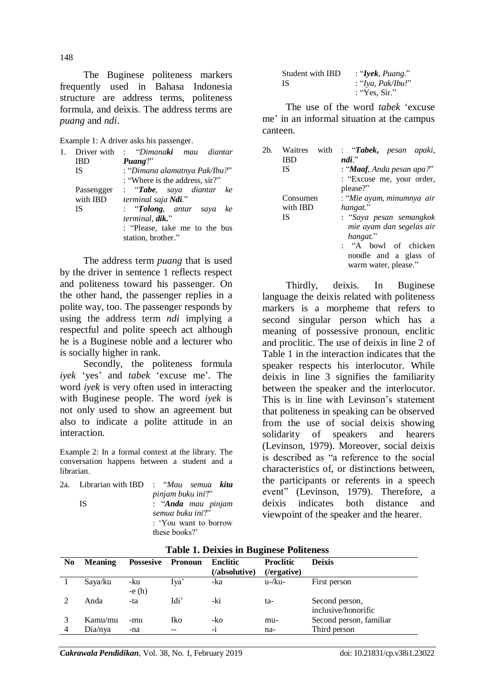The Buginese politeness markers frequently used in Bahasa Indonesia structure are address terms, politeness formula, and deixis. The address terms are *puang* and *ndi*.

Example 1: A driver asks his passenger.

| 1. | Driver with | : "Dimana <b>ki</b> mau diantar   |
|----|-------------|-----------------------------------|
|    | IBD         | $\mathbf{P}$ uang?"               |
|    | <b>IS</b>   | : "Dimana alamatnya Pak/Ibu?"     |
|    |             | : "Where is the address, sir?"    |
|    | Passengger  | : " <b>Tabe</b> , saya diantar ke |
|    | with IBD    | terminal saja Ndi."               |
|    | <b>IS</b>   | : "Tolong, antar saya<br>ke       |
|    |             | terminal, dik."                   |
|    |             | : "Please, take me to the bus     |
|    |             | station, brother."                |

The address term *puang* that is used by the driver in sentence 1 reflects respect and politeness toward his passenger. On the other hand, the passenger replies in a polite way, too. The passenger responds by using the address term *ndi* implying a respectful and polite speech act although he is a Buginese noble and a lecturer who is socially higher in rank.

Secondly, the politeness formula *ivek* 'yes' and *tabek* 'excuse me'. The word *iyek* is very often used in interacting with Buginese people. The word *iyek* is not only used to show an agreement but also to indicate a polite attitude in an interaction.

Example 2: In a formal context at the library. The conversation happens between a student and a librarian.

|  |                          | 2a. Librarian with IBD: "Mau semua kita |  |  |
|--|--------------------------|-----------------------------------------|--|--|
|  |                          | pinjam buku ini?"                       |  |  |
|  | : "Anda mau pinjam<br>IS |                                         |  |  |
|  |                          | semua buku ini?"                        |  |  |
|  |                          | : 'You want to borrow                   |  |  |
|  |                          | these books?'                           |  |  |

| Student with IBD | : "Iyek, Puang."  |
|------------------|-------------------|
| IS.              | : "Iya, Pak/Ibu!" |
|                  | : "Yes. Sir "     |

The use of the word *tabek* "excuse me' in an informal situation at the campus canteen.

| 2b. | Waitres<br>with<br>IBD<br><b>IS</b> | : "Tabek, pesan apaki,<br>$ndi$ "<br>: " <b>Maaf</b> , Anda pesan apa?"<br>: "Excuse me, your order,<br>please?"                                                                  |
|-----|-------------------------------------|-----------------------------------------------------------------------------------------------------------------------------------------------------------------------------------|
|     | Consumen<br>with IBD<br><b>IS</b>   | : "Mie ayam, minumnya air<br>hangat."<br>: "Saya pesan semangkok<br>mie ayam dan segelas air<br>hangat."<br>: "A bowl of chicken<br>noodle and a glass of<br>warm water, please." |

Thirdly, deixis. In Buginese language the deixis related with politeness markers is a morpheme that refers to second singular person which has a meaning of possessive pronoun, enclitic and proclitic. The use of deixis in line 2 of Table 1 in the interaction indicates that the speaker respects his interlocutor. While deixis in line 3 signifies the familiarity between the speaker and the interlocutor. This is in line with Levinson's statement that politeness in speaking can be observed from the use of social deixis showing solidarity of speakers and hearers (Levinson, 1979). Moreover, social deixis is described as "a reference to the social characteristics of, or distinctions between, the participants or [referents](http://www.sil.org/linguistics/GlossaryOfLinguisticTerms/WhatIsAReferent.htm) in a speech event" (Levinson, 1979). Therefore, a deixis indicates both distance and viewpoint of the speaker and the hearer.

| N <sub>0</sub> | <b>Meaning</b> | <b>Possesive</b> | Pronoun | Enclitic<br>(/absolutive) | <b>Proclitic</b><br>(/ergative) | <b>Deixis</b>           |
|----------------|----------------|------------------|---------|---------------------------|---------------------------------|-------------------------|
|                | Saya/ku        | -ku              | Iva'    | -ka                       | $u$ -/ku-                       | First person            |
|                |                | $-e(h)$          |         |                           |                                 |                         |
|                | Anda           | -ta              | Idi'    | -ki                       | ta-                             | Second person,          |
|                |                |                  |         |                           |                                 | inclusive/honorific     |
|                | Kamu/mu        | -mu              | Iko     | -ko                       | mu-                             | Second person, familiar |
|                | Dia/nya        | -na              | $- -$   | -1                        | na-                             | Third person            |

#### **Table 1. Deixies in Buginese Politeness**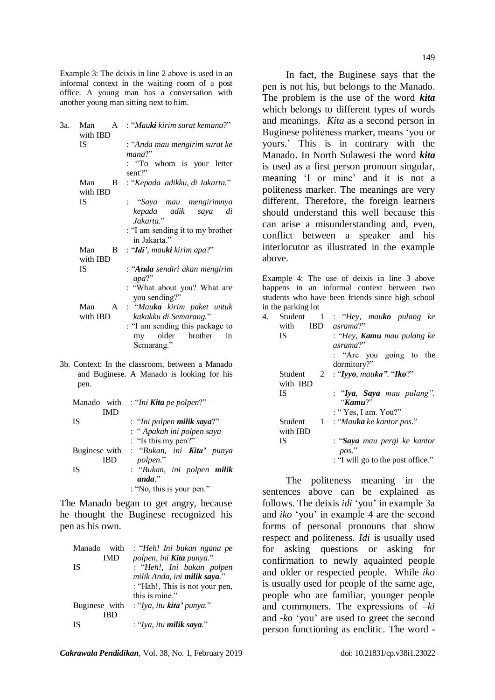Example 3: The deixis in line 2 above is used in an informal context in the waiting room of a post office. A young man has a conversation with another young man sitting next to him.

| 3a. | $\mathsf{A}$<br>Man<br>with IBD | : "Mauki kirim surat kemana?"                                                                                                       |
|-----|---------------------------------|-------------------------------------------------------------------------------------------------------------------------------------|
|     | IS                              | : "Anda mau mengirim surat ke<br>mana?"<br>: "To whom is your letter<br>sent?"                                                      |
|     | Man<br>B.<br>with IBD           | : "Kepada adikku, di Jakarta."                                                                                                      |
|     | <b>IS</b>                       | : "Saya mau mengirimnya<br>kepada adik<br>saya<br>di<br>$Jakarta.$ "<br>: "I am sending it to my brother<br>in Jakarta."            |
|     | Man<br>B.<br>with IBD           | : "Idi', mauki kirim apa?"                                                                                                          |
|     | <b>IS</b>                       | : " <b>Anda</b> sendiri akan mengirim<br>$apa?$ "<br>: "What about you? What are<br>you sending?"                                   |
|     | Man<br>with IBD                 | A : "Mauka kirim paket untuk<br>kakakku di Semarang."<br>: "I am sending this package to<br>older brother<br>in<br>my<br>Semarang." |

3b. Context: In the classroom, between a Manado and Buginese. A Manado is looking for his pen.

| Manado with   | : "Ini <b>Kita</b> pe polpen?"     |
|---------------|------------------------------------|
| IMD           |                                    |
| <b>IS</b>     | : "Ini polpen <b>milik saya</b> ?" |
|               | : "Apakah ini polpen saya          |
|               | : "Is this my pen?"                |
| Buginese with | : "Bukan, ini <b>Kita'</b> punya   |
|               | polpen."                           |
| <b>IS</b>     | : "Bukan, ini polpen milik         |
|               | $and a$ .                          |
|               | : "No, this is your pen."          |

The Manado began to get angry, because he thought the Buginese recognized his pen as his own.

| Manado<br>with | : "Heh! Ini bukan ngana pe       |
|----------------|----------------------------------|
| IMD            | polpen, ini <b>Kita</b> punya."  |
| <b>IS</b>      | : "Heh!, Ini bukan polpen        |
|                | milik Anda, ini milik saya."     |
|                | : "Hah!, This is not your pen,   |
|                | this is mine."                   |
| Buginese with  | : "Iya, itu <b>kita'</b> punya." |
| IRD            |                                  |
| <b>IS</b>      | : "Iya, itu milik saya."         |

In fact, the Buginese says that the pen is not his, but belongs to the Manado. The problem is the use of the word *kita* which belongs to different types of words and meanings. *Kita* as a second person in Buginese politeness marker, means "you or yours." This is in contrary with the Manado. In North Sulawesi the word *kita* is used as a first person pronoun singular, meaning 'I or mine' and it is not a politeness marker. The meanings are very different. Therefore, the foreign learners should understand this well because this can arise a misunderstanding and, even, conflict between a speaker and his interlocutor as illustrated in the example above.

Example 4: The use of deixis in line 3 above happens in an informal context between two students who have been friends since high school in the parking lot

|    | $\cdots$ will position $\blacksquare$           |                                                                                         |
|----|-------------------------------------------------|-----------------------------------------------------------------------------------------|
| 4. | Student<br>$\blacksquare$<br>with<br><b>IBD</b> | : "Hey, mauko pulang ke<br>asrama?"                                                     |
|    | <b>IS</b>                                       | : "Hey, <b>Kamu</b> mau pulang ke<br>asrama?"<br>: "Are you going to the<br>dormitory?" |
|    | Student<br>with IBD                             | 2 : "Iyyo, mauka". "Iko?"                                                               |
|    | IS                                              | : "Iya, Saya mau pulang".<br>"Kamu?"<br>: "Yes, I am. You?"                             |
|    | Student<br>with IBD                             | 1 : "Mauka ke kantor pos."                                                              |
|    | IS                                              | : "Saya mau pergi ke kantor<br>pos."<br>: "I will go to the post office."               |
|    |                                                 |                                                                                         |

The politeness meaning in the sentences above can be explained as follows. The deixis *idi* "you" in example 3a and *iko* "you" in example 4 are the second forms of personal pronouns that show respect and politeness. *Idi* is usually used for asking questions or asking for confirmation to newly aquainted people and older or respected people. While *iko* is usually used for people of the same age, people who are familiar, younger people and commoners. The expressions of –*ki* and *-ko* "you" are used to greet the second person functioning as enclitic. The word *-*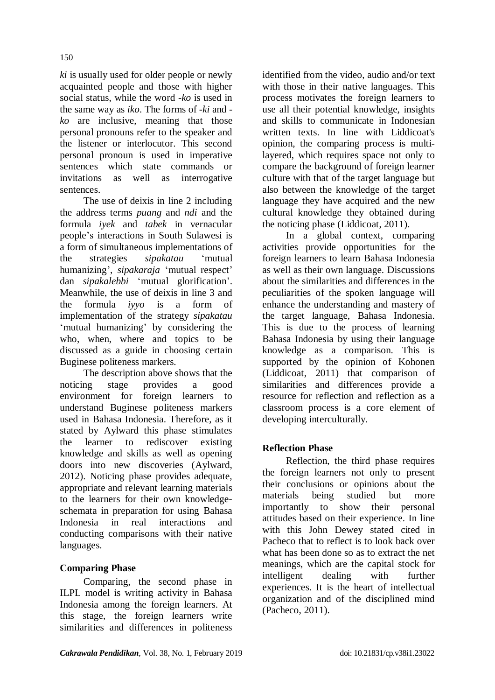*ki* is usually used for older people or newly acquainted people and those with higher social status, while the word *-ko* is used in the same way as *iko*. The forms of *-ki* and  *ko* are inclusive, meaning that those personal pronouns refer to the speaker and the listener or interlocutor. This second personal pronoun is used in imperative sentences which state commands or invitations as well as interrogative sentences.

The use of deixis in line 2 including the address terms *puang* and *ndi* and the formula *iyek* and *tabek* in vernacular people"s interactions in South Sulawesi is a form of simultaneous implementations of the strategies *sipakatau* "mutual humanizing', *sipakaraja* 'mutual respect' dan *sipakalebbi* "mutual glorification". Meanwhile, the use of deixis in line 3 and the formula *iyyo* is a form of implementation of the strategy *sipakatau* 'mutual humanizing' by considering the who, when, where and topics to be discussed as a guide in choosing certain Buginese politeness markers.

The description above shows that the noticing stage provides a good environment for foreign learners to understand Buginese politeness markers used in Bahasa Indonesia. Therefore, as it stated by Aylward this phase stimulates the learner to rediscover existing knowledge and skills as well as opening doors into new discoveries (Aylward, 2012). Noticing phase provides adequate, appropriate and relevant learning materials to the learners for their own knowledgeschemata in preparation for using Bahasa Indonesia in real interactions and conducting comparisons with their native languages.

## **Comparing Phase**

Comparing, the second phase in ILPL model is writing activity in Bahasa Indonesia among the foreign learners. At this stage, the foreign learners write similarities and differences in politeness

identified from the video, audio and/or text with those in their native languages. This process motivates the foreign learners to use all their potential knowledge, insights and skills to communicate in Indonesian written texts. In line with Liddicoat's opinion, the comparing process is multilayered, which requires space not only to compare the background of foreign learner culture with that of the target language but also between the knowledge of the target language they have acquired and the new cultural knowledge they obtained during the noticing phase (Liddicoat, 2011).

In a global context, comparing activities provide opportunities for the foreign learners to learn Bahasa Indonesia as well as their own language. Discussions about the similarities and differences in the peculiarities of the spoken language will enhance the understanding and mastery of the target language, Bahasa Indonesia. This is due to the process of learning Bahasa Indonesia by using their language knowledge as a comparison. This is supported by the opinion of Kohonen (Liddicoat, 2011) that comparison of similarities and differences provide a resource for reflection and reflection as a classroom process is a core element of developing interculturally.

## **Reflection Phase**

Reflection, the third phase requires the foreign learners not only to present their conclusions or opinions about the materials being studied but more importantly to show their personal attitudes based on their experience. In line with this John Dewey stated cited in Pacheco that to reflect is to look back over what has been done so as to extract the net meanings, which are the capital stock for intelligent dealing with further experiences. It is the heart of intellectual organization and of the disciplined mind (Pacheco, 2011).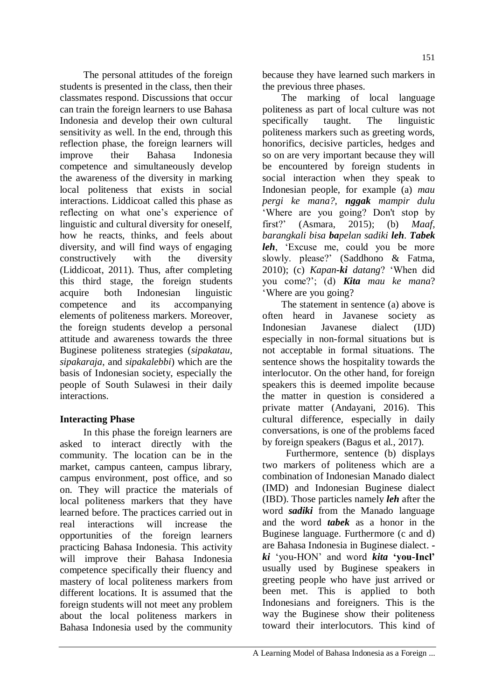The personal attitudes of the foreign students is presented in the class, then their classmates respond. Discussions that occur can train the foreign learners to use Bahasa Indonesia and develop their own cultural sensitivity as well. In the end, through this reflection phase, the foreign learners will improve their Bahasa Indonesia competence and simultaneously develop the awareness of the diversity in marking local politeness that exists in social interactions. Liddicoat called this phase as reflecting on what one"s experience of linguistic and cultural diversity for oneself, how he reacts, thinks, and feels about diversity, and will find ways of engaging constructively with the diversity (Liddicoat, 2011). Thus, after completing this third stage, the foreign students acquire both Indonesian linguistic competence and its accompanying elements of politeness markers. Moreover, the foreign students develop a personal attitude and awareness towards the three Buginese politeness strategies (*sipakatau*, *sipakaraja*, and *sipakalebbi*) which are the basis of Indonesian society, especially the people of South Sulawesi in their daily interactions.

## **Interacting Phase**

In this phase the foreign learners are asked to interact directly with the community. The location can be in the market, campus canteen, campus library, campus environment, post office, and so on. They will practice the materials of local politeness markers that they have learned before. The practices carried out in real interactions will increase the opportunities of the foreign learners practicing Bahasa Indonesia. This activity will improve their Bahasa Indonesia competence specifically their fluency and mastery of local politeness markers from different locations. It is assumed that the foreign students will not meet any problem about the local politeness markers in Bahasa Indonesia used by the community

because they have learned such markers in the previous three phases.

The marking of local language politeness as part of local culture was not specifically taught. The linguistic politeness markers such as greeting words, honorifics, decisive particles, hedges and so on are very important because they will be encountered by foreign students in social interaction when they speak to Indonesian people, for example (a) *mau pergi ke mana?, nggak mampir dulu* "Where are you going? Don't stop by first?" (Asmara, 2015); (b) *Maaf, barangkali bisa bapelan sadiki leh*. *Tabek leh*, "Excuse me, could you be more slowly. please?" (Saddhono & Fatma, 2010); (c) *Kapan-ki datang*? "When did you come?"; (d) *Kita mau ke mana*? "Where are you going?

The statement in sentence (a) above is often heard in Javanese society as Indonesian Javanese dialect (IJD) especially in non-formal situations but is not acceptable in formal situations. The sentence shows the hospitality towards the interlocutor. On the other hand, for foreign speakers this is deemed impolite because the matter in question is considered a private matter (Andayani, 2016). This cultural difference, especially in daily conversations, is one of the problems faced by foreign speakers (Bagus et al., 2017).

Furthermore, sentence (b) displays two markers of politeness which are a combination of Indonesian Manado dialect (IMD) and Indonesian Buginese dialect (IBD). Those particles namely *leh* after the word *sadiki* from the Manado language and the word *tabek* as a honor in the Buginese language. Furthermore (c and d) are Bahasa Indonesia in Buginese dialect.  *ki* "you-HON" and word *kita* **'you-Incl'**  usually used by Buginese speakers in greeting people who have just arrived or been met. This is applied to both Indonesians and foreigners. This is the way the Buginese show their politeness toward their interlocutors. This kind of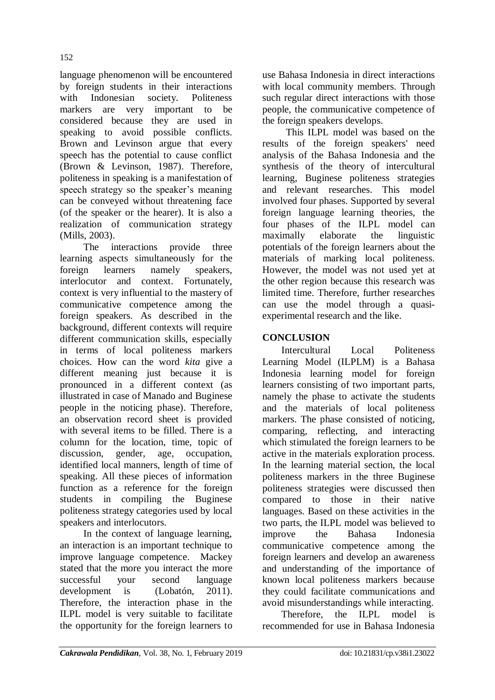152

language phenomenon will be encountered by foreign students in their interactions with Indonesian society. Politeness markers are very important to be considered because they are used in speaking to avoid possible conflicts. Brown and Levinson argue that every speech has the potential to cause conflict (Brown & Levinson, 1987). Therefore, politeness in speaking is a manifestation of speech strategy so the speaker's meaning can be conveyed without threatening face (of the speaker or the hearer). It is also a realization of communication strategy (Mills, 2003).

The interactions provide three learning aspects simultaneously for the foreign learners namely speakers, interlocutor and context. Fortunately, context is very influential to the mastery of communicative competence among the foreign speakers. As described in the background, different contexts will require different communication skills, especially in terms of local politeness markers choices. How can the word *kita* give a different meaning just because it is pronounced in a different context (as illustrated in case of Manado and Buginese people in the noticing phase). Therefore, an observation record sheet is provided with several items to be filled. There is a column for the location, time, topic of discussion, gender, age, occupation, identified local manners, length of time of speaking. All these pieces of information function as a reference for the foreign students in compiling the Buginese politeness strategy categories used by local speakers and interlocutors.

In the context of language learning, an interaction is an important technique to improve language competence. Mackey stated that the more you interact the more successful your second language development is (Lobatón, 2011). Therefore, the interaction phase in the ILPL model is very suitable to facilitate the opportunity for the foreign learners to use Bahasa Indonesia in direct interactions with local community members. Through such regular direct interactions with those people, the communicative competence of the foreign speakers develops.

This ILPL model was based on the results of the foreign speakers' need analysis of the Bahasa Indonesia and the synthesis of the theory of intercultural learning, Buginese politeness strategies and relevant researches. This model involved four phases. Supported by several foreign language learning theories, the four phases of the ILPL model can maximally elaborate the linguistic potentials of the foreign learners about the materials of marking local politeness. However, the model was not used yet at the other region because this research was limited time. Therefore, further researches can use the model through a quasiexperimental research and the like.

# **CONCLUSION**

Intercultural Local Politeness Learning Model (ILPLM) is a Bahasa Indonesia learning model for foreign learners consisting of two important parts, namely the phase to activate the students and the materials of local politeness markers. The phase consisted of noticing, comparing, reflecting, and interacting which stimulated the foreign learners to be active in the materials exploration process. In the learning material section, the local politeness markers in the three Buginese politeness strategies were discussed then compared to those in their native languages. Based on these activities in the two parts, the ILPL model was believed to improve the Bahasa Indonesia communicative competence among the foreign learners and develop an awareness and understanding of the importance of known local politeness markers because they could facilitate communications and avoid misunderstandings while interacting.

Therefore, the ILPL model is recommended for use in Bahasa Indonesia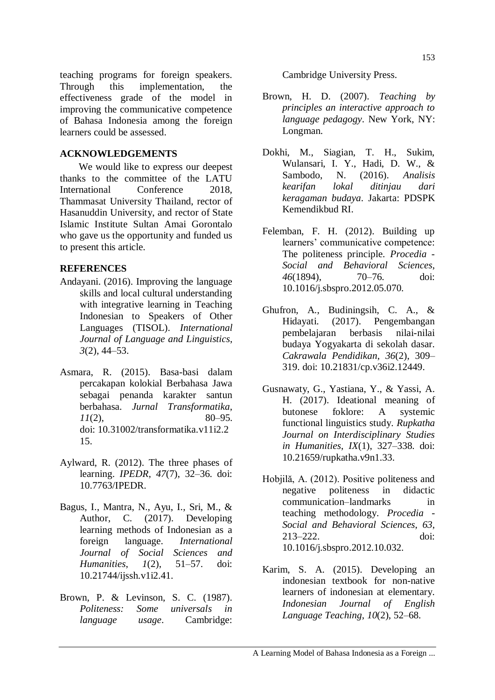teaching programs for foreign speakers. Through this implementation, the effectiveness grade of the model in improving the communicative competence of Bahasa Indonesia among the foreign learners could be assessed.

### **ACKNOWLEDGEMENTS**

We would like to express our deepest thanks to the committee of the LATU International Conference 2018, Thammasat University Thailand, rector of Hasanuddin University, and rector of State Islamic Institute Sultan Amai Gorontalo who gave us the opportunity and funded us to present this article.

#### **REFERENCES**

- Andayani. (2016). Improving the language skills and local cultural understanding with integrative learning in Teaching Indonesian to Speakers of Other Languages (TISOL). *International Journal of Language and Linguistics*, *3*(2), 44–53.
- Asmara, R. (2015). Basa-basi dalam percakapan kolokial Berbahasa Jawa sebagai penanda karakter santun berbahasa. *Jurnal Transformatika*, *11*(2), 80–95. doi: [10.31002/transformatika.v11i2.2](http://dx.doi.org/10.31002/transformatika.v11i2.215) [15.](http://dx.doi.org/10.31002/transformatika.v11i2.215)
- Aylward, R. (2012). The three phases of learning. *IPEDR*, *47*(7), 32–36. doi: 10.7763/IPEDR.
- Bagus, I., Mantra, N., Ayu, I., Sri, M., & Author, C. (2017). Developing learning methods of Indonesian as a foreign language. *International Journal of Social Sciences and Humanities*, *1*(2), 51–57. doi: 10.21744/ijssh.v1i2.41.
- Brown, P. & Levinson, S. C. (1987). *Politeness: Some universals in language usage*. Cambridge:

Cambridge University Press.

- Brown, H. D. (2007). *Teaching by principles an interactive approach to language pedagogy*. New York, NY: Longman.
- Dokhi, M., Siagian, T. H., Sukim, Wulansari, I. Y., Hadi, D. W., & Sambodo, N. (2016). *Analisis kearifan lokal ditinjau dari keragaman budaya*. Jakarta: PDSPK Kemendikbud RI.
- Felemban, F. H. (2012). Building up learners' communicative competence: The politeness principle. *Procedia - Social and Behavioral Sciences*, *46*(1894), 70–76. doi: 10.1016/j.sbspro.2012.05.070.
- Ghufron, A., Budiningsih, C. A., & Hidayati. (2017). Pengembangan pembelajaran berbasis nilai-nilai budaya Yogyakarta di sekolah dasar. *Cakrawala Pendidikan*, *36*(2), 309– 319. doi: 10.21831/cp.v36i2.12449.
- Gusnawaty, G., Yastiana, Y., & Yassi, A. H. (2017). Ideational meaning of butonese foklore: A systemic functional linguistics study. *Rupkatha Journal on Interdisciplinary Studies in Humanities*, *IX*(1), 327–338. doi: 10.21659/rupkatha.v9n1.33.
- Hobjilă, A. (2012). Positive politeness and negative politeness in didactic communication–landmarks in teaching methodology. *Procedia - Social and Behavioral Sciences*, *63*, 213–222. doi: 10.1016/j.sbspro.2012.10.032.
- Karim, S. A. (2015). Developing an indonesian textbook for non-native learners of indonesian at elementary. *Indonesian Journal of English Language Teaching*, *10*(2), 52–68.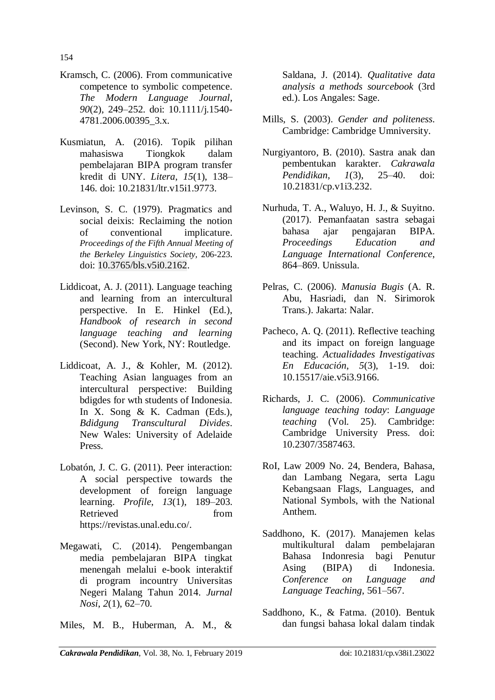- Kramsch, C. (2006). From communicative competence to symbolic competence. *The Modern Language Journal*, *90*(2), 249–252. doi: [10.1111/j.1540-](http://dx.doi.org/10.1111/j.1540-4781.2006.00395_3.x) [4781.2006.00395\\_3.x.](http://dx.doi.org/10.1111/j.1540-4781.2006.00395_3.x)
- Kusmiatun, A. (2016). Topik pilihan mahasiswa Tiongkok dalam pembelajaran BIPA program transfer kredit di UNY. *Litera*, *15*(1), 138– 146. doi: 10.21831/ltr.v15i1.9773.
- Levinson, S. C. (1979). Pragmatics and social deixis: Reclaiming the notion of conventional implicature. *Proceedings of the Fifth Annual Meeting of the Berkeley Linguistics Society,* 206-223. doi: [10.3765/bls.v5i0.2162.](http://dx.doi.org/10.3765/bls.v5i0.2162)
- Liddicoat, A. J. (2011). Language teaching and learning from an intercultural perspective. In E. Hinkel (Ed.), *Handbook of research in second language teaching and learning* (Second). New York, NY: Routledge.
- Liddicoat, A. J., & Kohler, M. (2012). Teaching Asian languages from an intercultural perspective: Building bdigdes for wth students of Indonesia. In X. Song & K. Cadman (Eds.), *Bdidgung Transcultural Divides*. New Wales: University of Adelaide Press.
- Lobatón, J. C. G. (2011). Peer interaction: A social perspective towards the development of foreign language learning. *Profile*, *13*(1), 189–203. Retrieved from https://revistas.unal.edu.co/.
- Megawati, C. (2014). Pengembangan media pembelajaran BIPA tingkat menengah melalui e-book interaktif di program incountry Universitas Negeri Malang Tahun 2014. *Jurnal Nosi*, *2*(1), 62–70.
- Miles, M. B., Huberman, A. M., &

Saldana, J. (2014). *Qualitative data analysis a methods sourcebook* (3rd ed.). Los Angales: Sage.

- Mills, S. (2003). *Gender and politeness*. Cambridge: Cambridge Umniversity.
- Nurgiyantoro, B. (2010). Sastra anak dan pembentukan karakter. *Cakrawala Pendidikan*, *1*(3), 25–40. doi: 10.21831/cp.v1i3.232.
- Nurhuda, T. A., Waluyo, H. J., & Suyitno. (2017). Pemanfaatan sastra sebagai bahasa ajar pengajaran BIPA. *Proceedings Education and Language International Conference*, 864–869. Unissula.
- Pelras, C. (2006). *Manusia Bugis* (A. R. Abu, Hasriadi, dan N. Sirimorok Trans.). Jakarta: Nalar.
- Pacheco, A. Q. (2011). Reflective teaching and its impact on foreign language teaching. *Actualidades Investigativas En Educación*, *5*(3), 1-19. doi: 10.15517/aie.v5i3.9166.
- Richards, J. C. (2006). *Communicative language teaching today*: *Language teaching* (Vol. 25). Cambridge: Cambridge University Press. doi: 10.2307/3587463.
- RoI, Law 2009 No. 24, Bendera, Bahasa, dan Lambang Negara, serta Lagu Kebangsaan Flags, Languages, and National Symbols, with the National Anthem.
- Saddhono, K. (2017). Manajemen kelas multikultural dalam pembelajaran Bahasa Indonresia bagi Penutur Asing (BIPA) di Indonesia. *Conference on Language and Language Teaching*, 561–567.
- Saddhono, K., & Fatma. (2010). Bentuk dan fungsi bahasa lokal dalam tindak